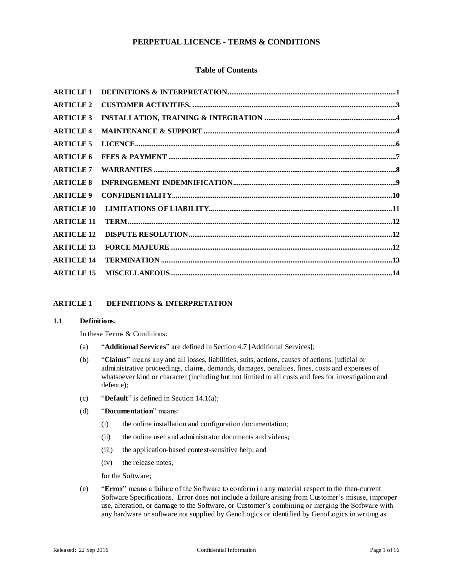# **PERPETUAL LICENCE - TERMS & CONDITIONS**

# **Table of Contents**

| <b>ARTICLE 1</b>  |  |
|-------------------|--|
| <b>ARTICLE 2</b>  |  |
| <b>ARTICLE 3</b>  |  |
| <b>ARTICLE 4</b>  |  |
| <b>ARTICLE 5</b>  |  |
| <b>ARTICLE 6</b>  |  |
| <b>ARTICLE 7</b>  |  |
| <b>ARTICLE 8</b>  |  |
| <b>ARTICLE 9</b>  |  |
| <b>ARTICLE 10</b> |  |
| <b>ARTICLE 11</b> |  |
| <b>ARTICLE 12</b> |  |
| <b>ARTICLE 13</b> |  |
| <b>ARTICLE 14</b> |  |
| <b>ARTICLE 15</b> |  |
|                   |  |

## **ARTICLE 1 DEFINITIONS & INTERPRETATION**

# **1.1 Definitions.**

In these Terms & Conditions:

- (a) "**Additional Services**" are defined in Section 4.7 [Additional Services];
- (b) "**Claims**" means any and all losses, liabilities, suits, actions, causes of actions, judicial or administrative proceedings, claims, demands, damages, penalties, fines, costs and expenses of whatsoever kind or character (including but not limited to all costs and fees for investigation and defence);
- (c) "**Default**" is defined in Section 14.1(a);
- (d) "**Documentation**" means:
	- (i) the online installation and configuration documentation;
	- (ii) the online user and administrator documents and videos;
	- (iii) the application-based context-sensitive help; and
	- (iv) the release notes,

for the Software;

(e) "**Error**" means a failure of the Software to conform in any material respect to the then-current Software Specifications. Error does not include a failure arising from Customer's misuse, improper use, alteration, or damage to the Software, or Customer's combining or merging the Software with any hardware or software not supplied by GenoLogics or identified by GenoLogics in writing as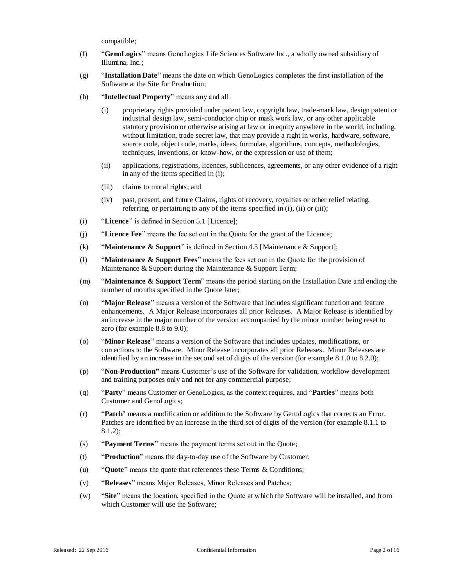compatible;

- (f) "**GenoLogics**" means GenoLogics Life Sciences Software Inc., a wholly owned subsidiary of Illumina, Inc.;
- (g) "**Installation Date**" means the date on which GenoLogics completes the first installation of the Software at the Site for Production;
- (h) "**Intellectual Property**" means any and all:
	- (i) proprietary rights provided under patent law, copyright law, trade-mark law, design patent or industrial design law, semi-conductor chip or mask work law, or any other applicable statutory provision or otherwise arising at law or in equity anywhere in the world, including, without limitation, trade secret law, that may provide a right in works, hardware, software, source code, object code, marks, ideas, formulae, algorithms, concepts, methodologies, techniques, inventions, or know-how, or the expression or use of them;
	- (ii) applications, registrations, licences, sublicences, agreements, or any other evidence of a right in any of the items specified in (i);
	- (iii) claims to moral rights; and
	- (iv) past, present, and future Claims, rights of recovery, royalties or other relief relating, referring, or pertaining to any of the items specified in (i), (ii) or (iii);
- (i) "**Licence**" is defined in Section 5.1 [Licence];
- (j) "**Licence Fee**" means the fee set out in the Quote for the grant of the Licence;
- (k) "**Maintenance & Support**" is defined in Section 4.3 [Maintenance & Support];
- (l) "**Maintenance & Support Fees**" means the fees set out in the Quote for the provision of Maintenance & Support during the Maintenance & Support Term;
- (m) "**Maintenance & Support Term**" means the period starting on the Installation Date and ending the number of months specified in the Quote later;
- (n) "**Major Release**" means a version of the Software that includes significant function and feature enhancements. A Major Release incorporates all prior Releases. A Major Release is identified by an increase in the major number of the version accompanied by the minor number being reset to zero (for example 8.8 to 9.0);
- (o) "**Minor Release**" means a version of the Software that includes updates, modifications, or corrections to the Software. Minor Release incorporates all prior Releases. Minor Releases are identified by an increase in the second set of digits of the version (for example 8.1.0 to 8.2.0);
- (p) "**Non-Production"** means Customer's use of the Software for validation, workflow development and training purposes only and not for any commercial purpose;
- (q) "**Party**" means Customer or GenoLogics, as the context requires, and "**Parties**" means both Customer and GenoLogics;
- (r) "**Patch**" means a modification or addition to the Software by GenoLogics that corrects an Error. Patches are identified by an increase in the third set of digits of the version (for example 8.1.1 to 8.1.2);
- (s) "**Payment Terms**" means the payment terms set out in the Quote;
- (t) "**Production**" means the day-to-day use of the Software by Customer;
- (u) "**Quote**" means the quote that references these Terms & Conditions;
- (v) "**Releases**" means Major Releases, Minor Releases and Patches;
- (w) "**Site**" means the location, specified in the Quote at which the Software will be installed, and from which Customer will use the Software;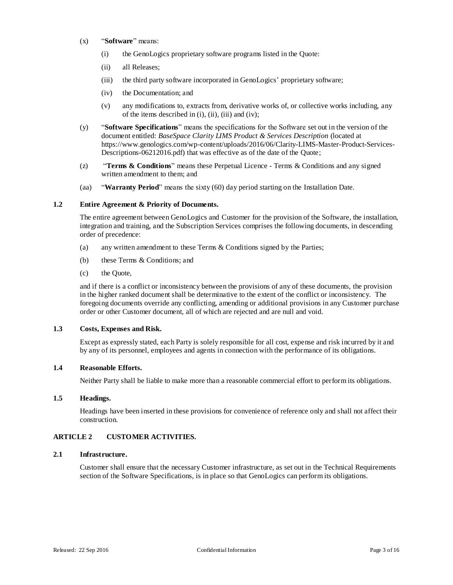- (x) "**Software**" means:
	- (i) the GenoLogics proprietary software programs listed in the Quote:
	- (ii) all Releases;
	- (iii) the third party software incorporated in GenoLogics' proprietary software;
	- (iv) the Documentation; and
	- (v) any modifications to, extracts from, derivative works of, or collective works including, any of the items described in  $(i)$ ,  $(ii)$ ,  $(iii)$  and  $(iv)$ ;
- (y) "**Software Specifications**" means the specifications for the Software set out in the version of the document entitled: *BaseSpace Clarity LIMS Product & Services Description* (located at https://www.genologics.com/wp-content/uploads/2016/06/Clarity-LIMS-Master-Product-Services-Descriptions-06212016.pdf) that was effective as of the date of the Quote;
- (z) "**Terms & Conditions**" means these Perpetual Licence Terms & Conditions and any signed written amendment to them; and
- (aa) "**Warranty Period**" means the sixty (60) day period starting on the Installation Date.

# **1.2 Entire Agreement & Priority of Documents.**

The entire agreement between GenoLogics and Customer for the provision of the Software, the installation, integration and training, and the Subscription Services comprises the following documents, in descending order of precedence:

- (a) any written amendment to these Terms & Conditions signed by the Parties;
- (b) these Terms & Conditions; and
- (c) the Quote,

and if there is a conflict or inconsistency between the provisions of any of these documents, the provision in the higher ranked document shall be determinative to the extent of the conflict or inconsistency. The foregoing documents override any conflicting, amending or additional provisions in any Customer purchase order or other Customer document, all of which are rejected and are null and void.

## **1.3 Costs, Expenses and Risk.**

Except as expressly stated, each Party is solely responsible for all cost, expense and risk incurred by it and by any of its personnel, employees and agents in connection with the performance of its obligations.

## **1.4 Reasonable Efforts.**

Neither Party shall be liable to make more than a reasonable commercial effort to perform its obligations.

### **1.5 Headings.**

Headings have been inserted in these provisions for convenience of reference only and shall not affect their construction.

# **ARTICLE 2 CUSTOMER ACTIVITIES.**

#### **2.1 Infrastructure.**

Customer shall ensure that the necessary Customer infrastructure, as set out in the Technical Requirements section of the Software Specifications, is in place so that GenoLogics can perform its obligations.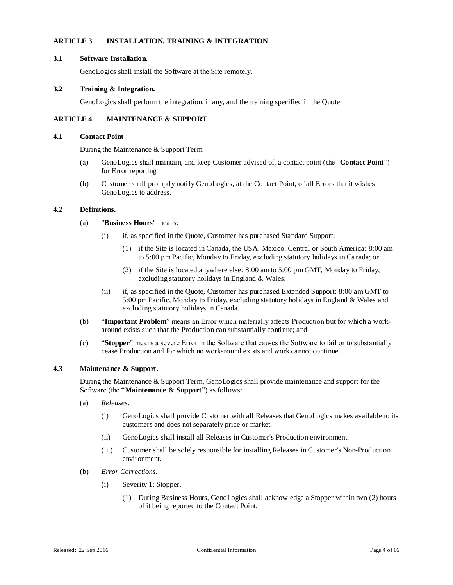# **ARTICLE 3 INSTALLATION, TRAINING & INTEGRATION**

## **3.1 Software Installation.**

GenoLogics shall install the Software at the Site remotely.

# **3.2 Training & Integration.**

GenoLogics shall perform the integration, if any, and the training specified in the Quote.

# **ARTICLE 4 MAINTENANCE & SUPPORT**

## **4.1 Contact Point**

During the Maintenance & Support Term:

- (a) GenoLogics shall maintain, and keep Customer advised of, a contact point (the "**Contact Point**") for Error reporting.
- (b) Customer shall promptly notify GenoLogics, at the Contact Point, of all Errors that it wishes GenoLogics to address.

# **4.2 Definitions.**

# (a) "**Business Hours**" means:

- (i) if, as specified in the Quote, Customer has purchased Standard Support:
	- (1) if the Site is located in Canada, the USA, Mexico, Central or South America: 8:00 am to 5:00 pm Pacific, Monday to Friday, excluding statutory holidays in Canada; or
	- (2) if the Site is located anywhere else: 8:00 am to 5:00 pm GMT, Monday to Friday, excluding statutory holidays in England & Wales;
- (ii) if, as specified in the Quote, Customer has purchased Extended Support: 8:00 am GMT to 5:00 pm Pacific, Monday to Friday, excluding statutory holidays in England & Wales and excluding statutory holidays in Canada.
- (b) "**Important Problem**" means an Error which materially affects Production but for which a workaround exists such that the Production can substantially continue; and
- (c) "**Stopper**" means a severe Error in the Software that causes the Software to fail or to substantially cease Production and for which no workaround exists and work cannot continue.

#### **4.3 Maintenance & Support.**

During the Maintenance & Support Term, GenoLogics shall provide maintenance and support for the Software (the "**Maintenance & Support**") as follows:

- (a) *Releases*.
	- (i) GenoLogics shall provide Customer with all Releases that GenoLogics makes available to its customers and does not separately price or market.
	- (ii) GenoLogics shall install all Releases in Customer's Production environment.
	- (iii) Customer shall be solely responsible for installing Releases in Customer's Non-Production environment.
- (b) *Error Corrections*.
	- (i) Severity 1: Stopper.
		- (1) During Business Hours, GenoLogics shall acknowledge a Stopper within two (2) hours of it being reported to the Contact Point.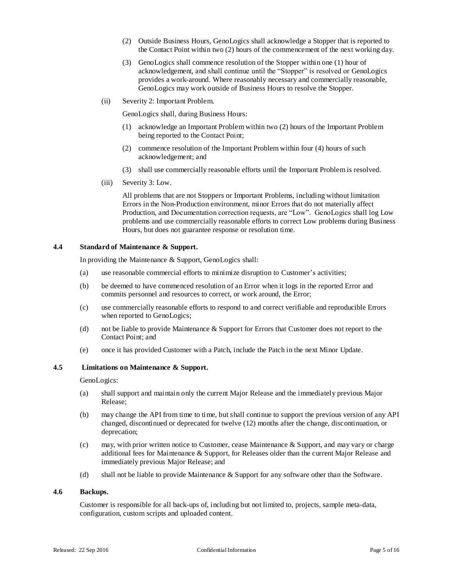- (2) Outside Business Hours, GenoLogics shall acknowledge a Stopper that is reported to the Contact Point within two (2) hours of the commencement of the next working day.
- (3) GenoLogics shall commence resolution of the Stopper within one (1) hour of acknowledgement, and shall continue until the "Stopper" is resolved or GenoLogics provides a work-around. Where reasonably necessary and commercially reasonable, GenoLogics may work outside of Business Hours to resolve the Stopper.
- (ii) Severity 2: Important Problem.

GenoLogics shall, during Business Hours:

- (1) acknowledge an Important Problem within two (2) hours of the Important Problem being reported to the Contact Point;
- (2) commence resolution of the Important Problem within four (4) hours of such acknowledgement; and
- (3) shall use commercially reasonable efforts until the Important Problem is resolved.
- (iii) Severity 3: Low.

All problems that are not Stoppers or Important Problems, including without limitation Errors in the Non-Production environment, minor Errors that do not materially affect Production, and Documentation correction requests, are "Low". GenoLogics shall log Low problems and use commercially reasonable efforts to correct Low problems during Business Hours, but does not guarantee response or resolution time.

## **4.4 Standard of Maintenance & Support.**

In providing the Maintenance & Support, GenoLogics shall:

- (a) use reasonable commercial efforts to minimize disruption to Customer's activities;
- (b) be deemed to have commenced resolution of an Error when it logs in the reported Error and commits personnel and resources to correct, or work around, the Error;
- (c) use commercially reasonable efforts to respond to and correct verifiable and reproducible Errors when reported to GenoLogics;
- (d) not be liable to provide Maintenance & Support for Errors that Customer does not report to the Contact Point; and
- (e) once it has provided Customer with a Patch, include the Patch in the next Minor Update.

# **4.5 Limitations on Maintenance & Support.**

GenoLogics:

- (a) shall support and maintain only the current Major Release and the immediately previous Major Release;
- (b) may change the API from time to time, but shall continue to support the previous version of any API changed, discontinued or deprecated for twelve (12) months after the change, discontinuation, or deprecation;
- (c) may, with prior written notice to Customer, cease Maintenance & Support, and may vary or charge additional fees for Maintenance & Support, for Releases older than the current Major Release and immediately previous Major Release; and
- (d) shall not be liable to provide Maintenance & Support for any software other than the Software.

## **4.6 Backups.**

Customer is responsible for all back-ups of, including but not limited to, projects, sample meta-data, configuration, custom scripts and uploaded content.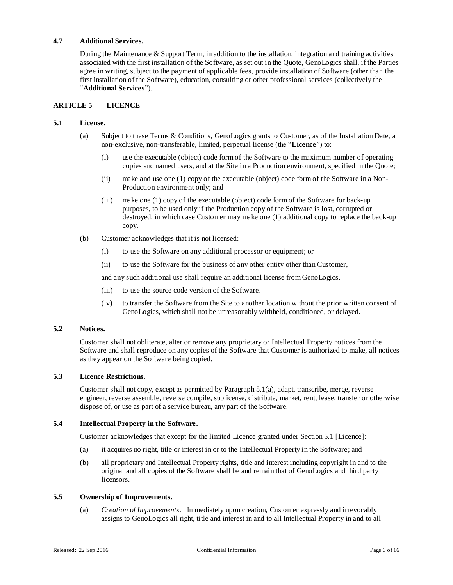# **4.7 Additional Services.**

During the Maintenance & Support Term, in addition to the installation, integration and training activities associated with the first installation of the Software, as set out in the Quote, GenoLogics shall, if the Parties agree in writing, subject to the payment of applicable fees, provide installation of Software (other than the first installation of the Software), education, consulting or other professional services (collectively the "**Additional Services**").

# **ARTICLE 5 LICENCE**

# **5.1 License.**

- (a) Subject to these Terms & Conditions, GenoLogics grants to Customer, as of the Installation Date, a non-exclusive, non-transferable, limited, perpetual license (the "**Licence**") to:
	- (i) use the executable (object) code form of the Software to the maximum number of operating copies and named users, and at the Site in a Production environment, specified in the Quote;
	- (ii) make and use one (1) copy of the executable (object) code form of the Software in a Non-Production environment only; and
	- (iii) make one (1) copy of the executable (object) code form of the Software for back-up purposes, to be used only if the Production copy of the Software is lost, corrupted or destroyed, in which case Customer may make one (1) additional copy to replace the back-up copy.
- (b) Customer acknowledges that it is not licensed:
	- (i) to use the Software on any additional processor or equipment; or
	- (ii) to use the Software for the business of any other entity other than Customer,

and any such additional use shall require an additional license from GenoLogics.

- (iii) to use the source code version of the Software.
- (iv) to transfer the Software from the Site to another location without the prior written consent of GenoLogics, which shall not be unreasonably withheld, conditioned, or delayed.

## **5.2 Notices.**

Customer shall not obliterate, alter or remove any proprietary or Intellectual Property notices from the Software and shall reproduce on any copies of the Software that Customer is authorized to make, all notices as they appear on the Software being copied.

# **5.3 Licence Restrictions.**

Customer shall not copy, except as permitted by Paragraph 5.1(a), adapt, transcribe, merge, reverse engineer, reverse assemble, reverse compile, sublicense, distribute, market, rent, lease, transfer or otherwise dispose of, or use as part of a service bureau, any part of the Software.

# **5.4 Intellectual Property in the Software.**

Customer acknowledges that except for the limited Licence granted under Section 5.1 [Licence]:

- (a) it acquires no right, title or interest in or to the Intellectual Property in the Software; and
- (b) all proprietary and Intellectual Property rights, title and interest including copyright in and to the original and all copies of the Software shall be and remain that of GenoLogics and third party licensors.

#### **5.5 Ownership of Improvements.**

(a) *Creation of Improvements*. Immediately upon creation, Customer expressly and irrevocably assigns to GenoLogics all right, title and interest in and to all Intellectual Property in and to all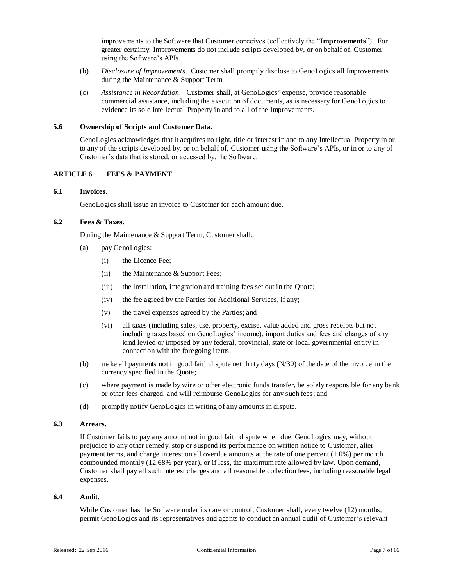improvements to the Software that Customer conceives (collectively the "**Improvements**"). For greater certainty, Improvements do not include scripts developed by, or on behalf of, Customer using the Software's APIs.

- (b) *Disclosure of Improvements*. Customer shall promptly disclose to GenoLogics all Improvements during the Maintenance & Support Term.
- (c) *Assistance in Recordation*. Customer shall, at GenoLogics' expense, provide reasonable commercial assistance, including the execution of documents, as is necessary for GenoLogics to evidence its sole Intellectual Property in and to all of the Improvements.

#### **5.6 Ownership of Scripts and Customer Data.**

GenoLogics acknowledges that it acquires no right, title or interest in and to any Intellectual Property in or to any of the scripts developed by, or on behalf of, Customer using the Software's APIs, or in or to any of Customer's data that is stored, or accessed by, the Software.

### **ARTICLE 6 FEES & PAYMENT**

#### **6.1 Invoices.**

GenoLogics shall issue an invoice to Customer for each amount due.

# **6.2 Fees & Taxes.**

During the Maintenance & Support Term, Customer shall:

- (a) pay GenoLogics:
	- (i) the Licence Fee;
	- (ii) the Maintenance & Support Fees;
	- (iii) the installation, integration and training fees set out in the Quote;
	- (iv) the fee agreed by the Parties for Additional Services, if any;
	- (v) the travel expenses agreed by the Parties; and
	- (vi) all taxes (including sales, use, property, excise, value added and gross receipts but not including taxes based on GenoLogics' income), import duties and fees and charges of any kind levied or imposed by any federal, provincial, state or local governmental entity in connection with the foregoing items;
- (b) make all payments not in good faith dispute net thirty days (N/30) of the date of the invoice in the currency specified in the Quote;
- (c) where payment is made by wire or other electronic funds transfer, be solely responsible for any bank or other fees charged, and will reimburse GenoLogics for any such fees; and
- (d) promptly notify GenoLogics in writing of any amounts in dispute.

#### **6.3 Arrears.**

If Customer fails to pay any amount not in good faith dispute when due, GenoLogics may, without prejudice to any other remedy, stop or suspend its performance on written notice to Customer, alter payment terms, and charge interest on all overdue amounts at the rate of one percent (1.0%) per month compounded monthly (12.68% per year), or if less, the maximum rate allowed by law. Upon demand, Customer shall pay all such interest charges and all reasonable collection fees, including reasonable legal expenses.

#### **6.4 Audit.**

While Customer has the Software under its care or control, Customer shall, every twelve (12) months, permit GenoLogics and its representatives and agents to conduct an annual audit of Customer's relevant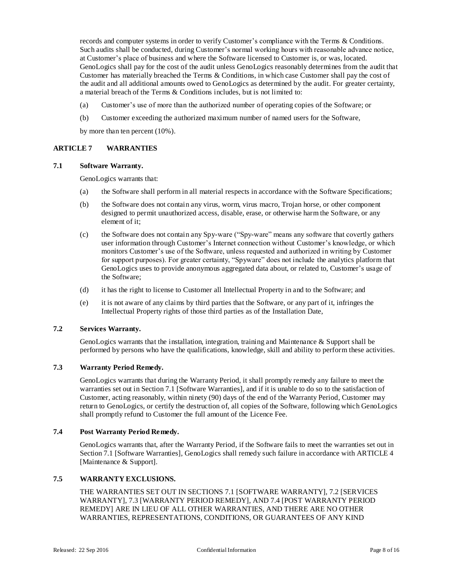records and computer systems in order to verify Customer's compliance with the Terms & Conditions. Such audits shall be conducted, during Customer's normal working hours with reasonable advance notice, at Customer's place of business and where the Software licensed to Customer is, or was,located. GenoLogics shall pay for the cost of the audit unless GenoLogics reasonably determines from the audit that Customer has materially breached the Terms & Conditions, in which case Customer shall pay the cost of the audit and all additional amounts owed to GenoLogics as determined by the audit. For greater certainty, a material breach of the Terms & Conditions includes, but is not limited to:

- (a) Customer's use of more than the authorized number of operating copies of the Software; or
- (b) Customer exceeding the authorized maximum number of named users for the Software,

by more than ten percent (10%).

## **ARTICLE 7 WARRANTIES**

#### **7.1 Software Warranty.**

GenoLogics warrants that:

- (a) the Software shall perform in all material respects in accordance with the Software Specifications;
- (b) the Software does not contain any virus, worm, virus macro, Trojan horse, or other component designed to permit unauthorized access, disable, erase, or otherwise harm the Software, or any element of it;
- (c) the Software does not contain any Spy-ware ("Spy-ware" means any software that covertly gathers user information through Customer's Internet connection without Customer's knowledge, or which monitors Customer's use of the Software, unless requested and authorized in writing by Customer for support purposes). For greater certainty, "Spyware" does not include the analytics platform that GenoLogics uses to provide anonymous aggregated data about, or related to, Customer's usage of the Software;
- (d) it has the right to license to Customer all Intellectual Property in and to the Software; and
- (e) it is not aware of any claims by third parties that the Software, or any part of it, infringes the Intellectual Property rights of those third parties as of the Installation Date,

## **7.2 Services Warranty.**

GenoLogics warrants that the installation, integration, training and Maintenance & Support shall be performed by persons who have the qualifications, knowledge, skill and ability to perform these activities.

# **7.3 Warranty Period Remedy.**

GenoLogics warrants that during the Warranty Period, it shall promptly remedy any failure to meet the warranties set out in Section 7.1 [Software Warranties], and if it is unable to do so to the satisfaction of Customer, acting reasonably, within ninety (90) days of the end of the Warranty Period, Customer may return to GenoLogics, or certify the destruction of, all copies of the Software, following which GenoLogics shall promptly refund to Customer the full amount of the Licence Fee.

## **7.4 Post Warranty Period Remedy.**

GenoLogics warrants that, after the Warranty Period, if the Software fails to meet the warranties set out in Section 7.1 [Software Warranties], GenoLogics shall remedy such failure in accordance with ARTICLE 4 [Maintenance & Support].

# **7.5 WARRANTY EXCLUSIONS.**

THE WARRANTIES SET OUT IN SECTIONS 7.1 [SOFTWARE WARRANTY], 7.2 [SERVICES WARRANTY], 7.3 [WARRANTY PERIOD REMEDY], AND 7.4 [POST WARRANTY PERIOD REMEDY] ARE IN LIEU OF ALL OTHER WARRANTIES, AND THERE ARE NO OTHER WARRANTIES, REPRESENTATIONS, CONDITIONS, OR GUARANTEES OF ANY KIND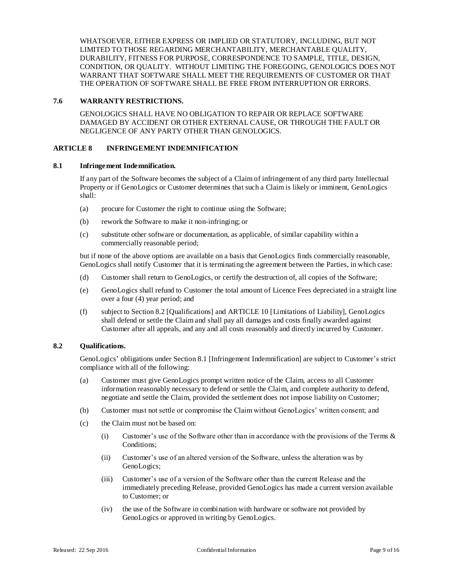WHATSOEVER, EITHER EXPRESS OR IMPLIED OR STATUTORY, INCLUDING, BUT NOT LIMITED TO THOSE REGARDING MERCHANTABILITY, MERCHANTABLE QUALITY, DURABILITY, FITNESS FOR PURPOSE, CORRESPONDENCE TO SAMPLE, TITLE, DESIGN, CONDITION, OR QUALITY. WITHOUT LIMITING THE FOREGOING, GENOLOGICS DOES NOT WARRANT THAT SOFTWARE SHALL MEET THE REQUIREMENTS OF CUSTOMER OR THAT THE OPERATION OF SOFTWARE SHALL BE FREE FROM INTERRUPTION OR ERRORS.

## **7.6 WARRANTY RESTRICTIONS.**

GENOLOGICS SHALL HAVE NO OBLIGATION TO REPAIR OR REPLACE SOFTWARE DAMAGED BY ACCIDENT OR OTHER EXTERNAL CAUSE, OR THROUGH THE FAULT OR NEGLIGENCE OF ANY PARTY OTHER THAN GENOLOGICS.

# **ARTICLE 8 INFRINGEMENT INDEMNIFICATION**

### **8.1 Infringement Indemnification.**

If any part of the Software becomes the subject of a Claim of infringement of any third party Intellectual Property or if GenoLogics or Customer determines that such a Claim is likely or imminent, GenoLogics shall:

- (a) procure for Customer the right to continue using the Software;
- (b) rework the Software to make it non-infringing; or
- (c) substitute other software or documentation, as applicable, of similar capability within a commercially reasonable period;

but if none of the above options are available on a basis that GenoLogics finds commercially reasonable, GenoLogics shall notify Customer that it is terminating the agreement between the Parties, in which case:

- (d) Customer shall return to GenoLogics, or certify the destruction of, all copies of the Software;
- (e) GenoLogics shall refund to Customer the total amount of Licence Fees depreciated in a straight line over a four (4) year period; and
- (f) subject to Section 8.2 [Qualifications] and ARTICLE 10 [Limitations of Liability], GenoLogics shall defend or settle the Claim and shall pay all damages and costs finally awarded against Customer after all appeals, and any and all costs reasonably and directly incurred by Customer.

## **8.2 Qualifications.**

GenoLogics' obligations under Section 8.1 [Infringement Indemnification] are subject to Customer's strict compliance with all of the following:

- (a) Customer must give GenoLogics prompt written notice of the Claim, access to all Customer information reasonably necessary to defend or settle the Claim, and complete authority to defend, negotiate and settle the Claim, provided the settlement does not impose liability on Customer;
- (b) Customer must not settle or compromise the Claim without GenoLogics' written consent; and
- (c) the Claim must not be based on:
	- (i) Customer's use of the Software other than in accordance with the provisions of the Terms  $\&$ Conditions;
	- (ii) Customer's use of an altered version of the Software, unless the alteration was by GenoLogics;
	- (iii) Customer's use of a version of the Software other than the current Release and the immediately preceding Release, provided GenoLogics has made a current version available to Customer; or
	- (iv) the use of the Software in combination with hardware or software not provided by GenoLogics or approved in writing by GenoLogics.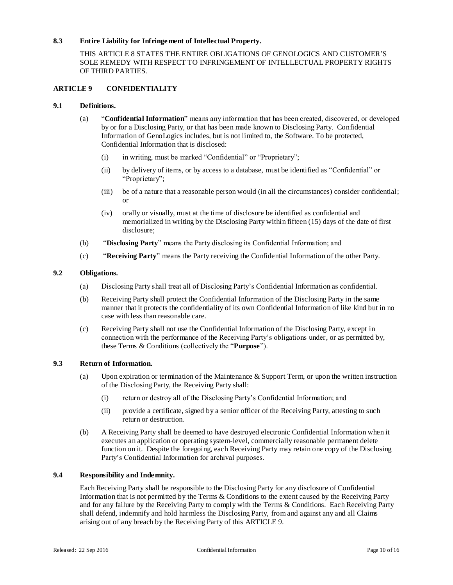# **8.3 Entire Liability for Infringement of Intellectual Property.**

THIS ARTICLE 8 STATES THE ENTIRE OBLIGATIONS OF GENOLOGICS AND CUSTOMER'S SOLE REMEDY WITH RESPECT TO INFRINGEMENT OF INTELLECTUAL PROPERTY RIGHTS OF THIRD PARTIES.

# **ARTICLE 9 CONFIDENTIALITY**

## **9.1 Definitions.**

- (a) "**Confidential Information**" means any information that has been created, discovered, or developed by or for a Disclosing Party, or that has been made known to Disclosing Party. Confidential Information of GenoLogics includes, but is not limited to, the Software. To be protected, Confidential Information that is disclosed:
	- (i) in writing, must be marked "Confidential" or "Proprietary";
	- (ii) by delivery of items, or by access to a database, must be identified as "Confidential" or "Proprietary";
	- (iii) be of a nature that a reasonable person would (in all the circumstances) consider confidential; or
	- (iv) orally or visually, must at the time of disclosure be identified as confidential and memorialized in writing by the Disclosing Party within fifteen (15) days of the date of first disclosure;
- (b) "**Disclosing Party**" means the Party disclosing its Confidential Information; and
- (c) "**Receiving Party**" means the Party receiving the Confidential Information of the other Party.

# **9.2 Obligations.**

- (a) Disclosing Party shall treat all of Disclosing Party's Confidential Information as confidential.
- (b) Receiving Party shall protect the Confidential Information of the Disclosing Party in the same manner that it protects the confidentiality of its own Confidential Information of like kind but in no case with less than reasonable care.
- (c) Receiving Party shall not use the Confidential Information of the Disclosing Party, except in connection with the performance of the Receiving Party's obligations under, or as permitted by, these Terms & Conditions (collectively the "**Purpose**").

## **9.3 Return of Information.**

- (a) Upon expiration or termination of the Maintenance & Support Term, or upon the written instruction of the Disclosing Party, the Receiving Party shall:
	- (i) return or destroy all of the Disclosing Party's Confidential Information; and
	- (ii) provide a certificate, signed by a senior officer of the Receiving Party, attesting to such return or destruction.
- (b) A Receiving Party shall be deemed to have destroyed electronic Confidential Information when it executes an application or operating system-level, commercially reasonable permanent delete function on it. Despite the foregoing, each Receiving Party may retain one copy of the Disclosing Party's Confidential Information for archival purposes.

# **9.4 Responsibility and Indemnity.**

Each Receiving Party shall be responsible to the Disclosing Party for any disclosure of Confidential Information that is not permitted by the Terms & Conditions to the extent caused by the Receiving Party and for any failure by the Receiving Party to comply with the Terms & Conditions. Each Receiving Party shall defend, indemnify and hold harmless the Disclosing Party, from and against any and all Claims arising out of any breach by the Receiving Party of this ARTICLE 9.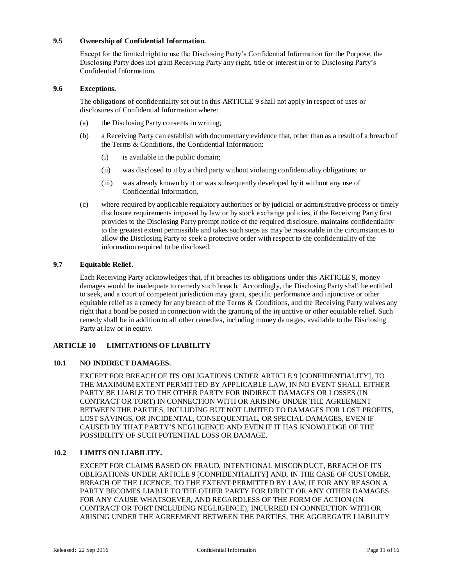# **9.5 Ownership of Confidential Information.**

Except for the limited right to use the Disclosing Party's Confidential Information for the Purpose, the Disclosing Party does not grant Receiving Party any right, title or interest in or to Disclosing Party's Confidential Information.

# **9.6 Exceptions.**

The obligations of confidentiality set out in this ARTICLE 9 shall not apply in respect of uses or disclosures of Confidential Information where:

- (a) the Disclosing Party consents in writing;
- (b) a Receiving Party can establish with documentary evidence that, other than as a result of a breach of the Terms & Conditions, the Confidential Information:
	- (i) is available in the public domain;
	- (ii) was disclosed to it by a third party without violating confidentiality obligations; or
	- (iii) was already known by it or was subsequently developed by it without any use of Confidential Information,
- (c) where required by applicable regulatory authorities or by judicial or administrative process or timely disclosure requirements imposed by law or by stock exchange policies, if the Receiving Party first provides to the Disclosing Party prompt notice of the required disclosure, maintains confidentiality to the greatest extent permissible and takes such steps as may be reasonable in the circumstances to allow the Disclosing Party to seek a protective order with respect to the confidentiality of the information required to be disclosed.

# **9.7 Equitable Relief.**

Each Receiving Party acknowledges that, if it breaches its obligations under this ARTICLE 9, money damages would be inadequate to remedy such breach. Accordingly, the Disclosing Party shall be entitled to seek, and a court of competent jurisdiction may grant, specific performance and injunctive or other equitable relief as a remedy for any breach of the Terms & Conditions, and the Receiving Party waives any right that a bond be posted in connection with the granting of the injunctive or other equitable relief. Such remedy shall be in addition to all other remedies, including money damages, available to the Disclosing Party at law or in equity.

# **ARTICLE 10 LIMITATIONS OF LIABILITY**

# **10.1 NO INDIRECT DAMAGES.**

EXCEPT FOR BREACH OF ITS OBLIGATIONS UNDER ARTICLE 9 [CONFIDENTIALITY], TO THE MAXIMUM EXTENT PERMITTED BY APPLICABLE LAW, IN NO EVENT SHALL EITHER PARTY BE LIABLE TO THE OTHER PARTY FOR INDIRECT DAMAGES OR LOSSES (IN CONTRACT OR TORT) IN CONNECTION WITH OR ARISING UNDER THE AGREEMENT BETWEEN THE PARTIES, INCLUDING BUT NOT LIMITED TO DAMAGES FOR LOST PROFITS, LOST SAVINGS, OR INCIDENTAL, CONSEQUENTIAL, OR SPECIAL DAMAGES, EVEN IF CAUSED BY THAT PARTY'S NEGLIGENCE AND EVEN IF IT HAS KNOWLEDGE OF THE POSSIBILITY OF SUCH POTENTIAL LOSS OR DAMAGE.

# **10.2 LIMITS ON LIABILITY.**

EXCEPT FOR CLAIMS BASED ON FRAUD, INTENTIONAL MISCONDUCT, BREACH OF ITS OBLIGATIONS UNDER ARTICLE 9 [CONFIDENTIALITY] AND, IN THE CASE OF CUSTOMER, BREACH OF THE LICENCE, TO THE EXTENT PERMITTED BY LAW, IF FOR ANY REASON A PARTY BECOMES LIABLE TO THE OTHER PARTY FOR DIRECT OR ANY OTHER DAMAGES FOR ANY CAUSE WHATSOEVER, AND REGARDLESS OF THE FORM OF ACTION (IN CONTRACT OR TORT INCLUDING NEGLIGENCE), INCURRED IN CONNECTION WITH OR ARISING UNDER THE AGREEMENT BETWEEN THE PARTIES, THE AGGREGATE LIABILITY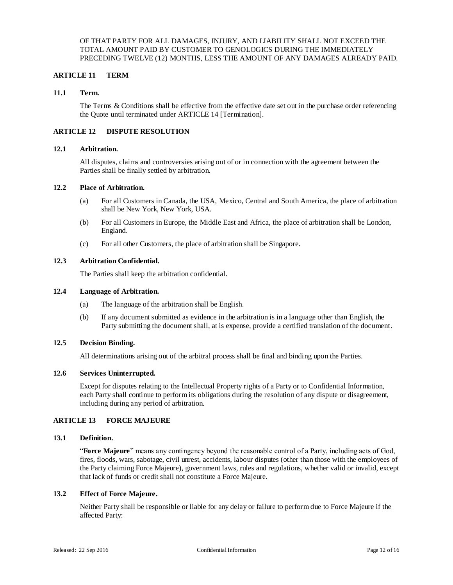### OF THAT PARTY FOR ALL DAMAGES, INJURY, AND LIABILITY SHALL NOT EXCEED THE TOTAL AMOUNT PAID BY CUSTOMER TO GENOLOGICS DURING THE IMMEDIATELY PRECEDING TWELVE (12) MONTHS, LESS THE AMOUNT OF ANY DAMAGES ALREADY PAID.

# **ARTICLE 11 TERM**

## **11.1 Term.**

The Terms & Conditions shall be effective from the effective date set out in the purchase order referencing the Quote until terminated under ARTICLE 14 [Termination].

# **ARTICLE 12 DISPUTE RESOLUTION**

## **12.1 Arbitration.**

All disputes, claims and controversies arising out of or in connection with the agreement between the Parties shall be finally settled by arbitration.

### **12.2 Place of Arbitration.**

- (a) For all Customers in Canada, the USA, Mexico, Central and South America, the place of arbitration shall be New York, New York, USA.
- (b) For all Customers in Europe, the Middle East and Africa, the place of arbitration shall be London, England.
- (c) For all other Customers, the place of arbitration shall be Singapore.

### **12.3 Arbitration Confidential.**

The Parties shall keep the arbitration confidential.

#### **12.4 Language of Arbitration.**

- (a) The language of the arbitration shall be English.
- (b) If any document submitted as evidence in the arbitration is in a language other than English, the Party submitting the document shall, at is expense, provide a certified translation of the document.

#### **12.5 Decision Binding.**

All determinations arising out of the arbitral process shall be final and binding upon the Parties.

#### **12.6 Services Uninterrupted.**

Except for disputes relating to the Intellectual Property rights of a Party or to Confidential Information, each Party shall continue to perform its obligations during the resolution of any dispute or disagreement, including during any period of arbitration.

## **ARTICLE 13 FORCE MAJEURE**

#### **13.1 Definition.**

"**Force Majeure**" means any contingency beyond the reasonable control of a Party, including acts of God, fires, floods, wars, sabotage, civil unrest, accidents, labour disputes (other than those with the employees of the Party claiming Force Majeure), government laws, rules and regulations, whether valid or invalid, except that lack of funds or credit shall not constitute a Force Majeure.

#### **13.2 Effect of Force Majeure.**

Neither Party shall be responsible or liable for any delay or failure to perform due to Force Majeure if the affected Party: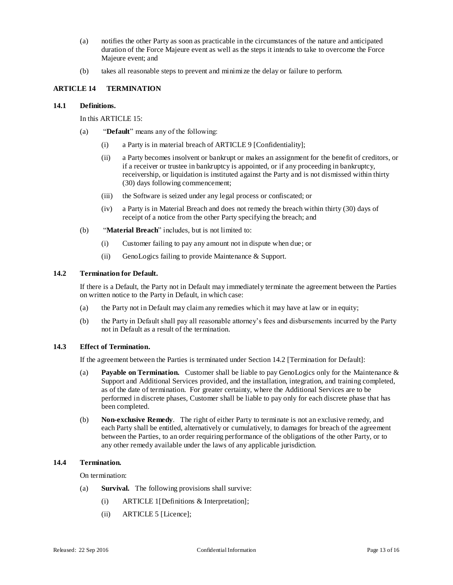- (a) notifies the other Party as soon as practicable in the circumstances of the nature and anticipated duration of the Force Majeure event as well as the steps it intends to take to overcome the Force Majeure event; and
- (b) takes all reasonable steps to prevent and minimi ze the delay or failure to perform.

# **ARTICLE 14 TERMINATION**

#### **14.1 Definitions.**

In this ARTICLE 15:

- (a) "**Default**" means any of the following:
	- (i) a Party is in material breach of ARTICLE 9 [Confidentiality];
	- (ii) a Party becomes insolvent or bankrupt or makes an assignment for the benefit of creditors, or if a receiver or trustee in bankruptcy is appointed, or if any proceeding in bankruptcy, receivership, or liquidation is instituted against the Party and is not dismissed within thirty (30) days following commencement;
	- (iii) the Software is seized under any legal process or confiscated; or
	- (iv) a Party is in Material Breach and does not remedy the breach within thirty (30) days of receipt of a notice from the other Party specifying the breach; and
- (b) "**Material Breach**" includes, but is not limited to:
	- (i) Customer failing to pay any amount not in dispute when due; or
	- (ii) GenoLogics failing to provide Maintenance & Support.

#### **14.2 Termination for Default.**

If there is a Default, the Party not in Default may immediately terminate the agreement between the Parties on written notice to the Party in Default, in which case:

- (a) the Party not in Default may claim any remedies which it may have at law or in equity;
- (b) the Party in Default shall pay all reasonable attorney's fees and disbursements incurred by the Party not in Default as a result of the termination.

## **14.3 Effect of Termination.**

If the agreement between the Parties is terminated under Section 14.2 [Termination for Default]:

- (a) **Payable on Termination.** Customer shall be liable to pay GenoLogics only for the Maintenance & Support and Additional Services provided, and the installation, integration, and training completed, as of the date of termination. For greater certainty, where the Additional Services are to be performed in discrete phases, Customer shall be liable to pay only for each discrete phase that has been completed.
- (b) **Non-exclusive Remedy**. The right of either Party to terminate is not an exclusive remedy, and each Party shall be entitled, alternatively or cumulatively, to damages for breach of the agreement between the Parties, to an order requiring performance of the obligations of the other Party, or to any other remedy available under the laws of any applicable jurisdiction.

### **14.4 Termination.**

On termination:

- (a) **Survival.** The following provisions shall survive:
	- (i) ARTICLE 1[Definitions & Interpretation];
	- (ii) ARTICLE 5 [Licence];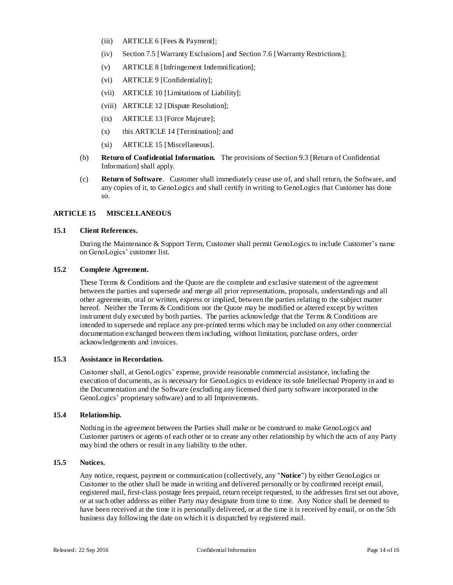- (iii) ARTICLE 6 [Fees & Payment];
- (iv) Section 7.5 [Warranty Exclusions] and Section 7.6 [Warranty Restrictions];
- (v) ARTICLE 8 [Infringement Indemnification];
- (vi) ARTICLE 9 [Confidentiality];
- (vii) ARTICLE 10 [Limitations of Liability];
- (viii) ARTICLE 12 [Dispute Resolution];
- (ix) ARTICLE 13 [Force Majeure];
- (x) this ARTICLE 14 [Termination]; and
- (xi) ARTICLE 15 [Miscellaneous].
- (b) **Return of Confidential Information.** The provisions of Section 9.3 [Return of Confidential Information] shall apply.
- (c) **Return of Software**. Customer shall immediately cease use of, and shall return, the Software, and any copies of it, to GenoLogics and shall certify in writing to GenoLogics that Customer has done so.

# **ARTICLE 15 MISCELLANEOUS**

# **15.1 Client References.**

During the Maintenance & Support Term, Customer shall permit GenoLogics to include Customer's name on GenoLogics' customer list.

# **15.2 Complete Agreement.**

These Terms & Conditions and the Quote are the complete and exclusive statement of the agreement between the parties and supersede and merge all prior representations, proposals, understandings and all other agreements, oral or written, express or implied, between the parties relating to the subject matter hereof. Neither the Terms & Conditions nor the Quote may be modified or altered except by written instrument duly executed by both parties. The parties acknowledge that the Terms & Conditions are intended to supersede and replace any pre-printed terms which may be included on any other commercial documentation exchanged between them including, without limitation, purchase orders, order acknowledgements and invoices.

# **15.3 Assistance in Recordation.**

Customer shall, at GenoLogics' expense, provide reasonable commercial assistance, including the execution of documents, as is necessary for GenoLogics to evidence its sole Intellectual Property in and to the Documentation and the Software (excluding any licensed third party software incorporated in the GenoLogics' proprietary software) and to all Improvements.

# **15.4 Relationship.**

Nothing in the agreement between the Parties shall make or be construed to make GenoLogics and Customer partners or agents of each other or to create any other relationship by which the acts of any Party may bind the others or result in any liability to the other.

### **15.5 Notices.**

Any notice, request, payment or communication (collectively, any "**Notice**") by either GenoLogics or Customer to the other shall be made in writing and delivered personally or by confirmed receipt email, registered mail, first-class postage fees prepaid, return receipt requested, to the addresses first set out above, or at such other address as either Party may designate from time to time. Any Notice shall be deemed to have been received at the time it is personally delivered, or at the time it is received by email, or on the 5th business day following the date on which it is dispatched by registered mail.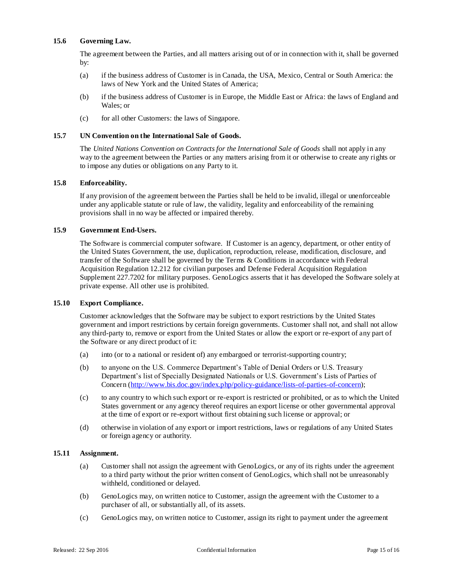# **15.6 Governing Law.**

The agreement between the Parties, and all matters arising out of or in connection with it, shall be governed by:

- (a) if the business address of Customer is in Canada, the USA, Mexico, Central or South America: the laws of New York and the United States of America;
- (b) if the business address of Customer is in Europe, the Middle East or Africa: the laws of England and Wales; or
- (c) for all other Customers: the laws of Singapore.

## **15.7 UN Convention on the International Sale of Goods.**

The *United Nations Convention on Contracts for the International Sale of Goods* shall not apply in any way to the agreement between the Parties or any matters arising from it or otherwise to create any rights or to impose any duties or obligations on any Party to it.

# **15.8 Enforceability.**

If any provision of the agreement between the Parties shall be held to be invalid, illegal or unenforceable under any applicable statute or rule of law, the validity, legality and enforceability of the remaining provisions shall in no way be affected or impaired thereby.

# **15.9 Government End-Users.**

The Software is commercial computer software. If Customer is an agency, department, or other entity of the United States Government, the use, duplication, reproduction, release, modification, disclosure, and transfer of the Software shall be governed by the Terms & Conditions in accordance with Federal Acquisition Regulation 12.212 for civilian purposes and Defense Federal Acquisition Regulation Supplement 227.7202 for military purposes. GenoLogics asserts that it has developed the Software solely at private expense. All other use is prohibited.

#### **15.10 Export Compliance.**

Customer acknowledges that the Software may be subject to export restrictions by the United States government and import restrictions by certain foreign governments. Customer shall not, and shall not allow any third-party to, remove or export from the United States or allow the export or re-export of any part of the Software or any direct product of it:

- (a) into (or to a national or resident of) any embargoed or terrorist-supporting country;
- (b) to anyone on the U.S. Commerce Department's Table of Denial Orders or U.S. Treasury Department's list of Specially Designated Nationals or U.S. Government's Lists of Parties of Concern [\(http://www.bis.doc.gov/index.php/policy-guidance/lists-of-parties-of-concern\)](http://www.bis.doc.gov/index.php/policy-guidance/lists-of-parties-of-concern);
- (c) to any country to which such export or re-export is restricted or prohibited, or as to which the United States government or any agency thereof requires an export license or other governmental approval at the time of export or re-export without first obtaining such license or approval; or
- (d) otherwise in violation of any export or import restrictions, laws or regulations of any United States or foreign agency or authority.

# **15.11 Assignment.**

- (a) Customer shall not assign the agreement with GenoLogics, or any of its rights under the agreement to a third party without the prior written consent of GenoLogics, which shall not be unreasonably withheld, conditioned or delayed.
- (b) GenoLogics may, on written notice to Customer, assign the agreement with the Customer to a purchaser of all, or substantially all, of its assets.
- (c) GenoLogics may, on written notice to Customer, assign its right to payment under the agreement